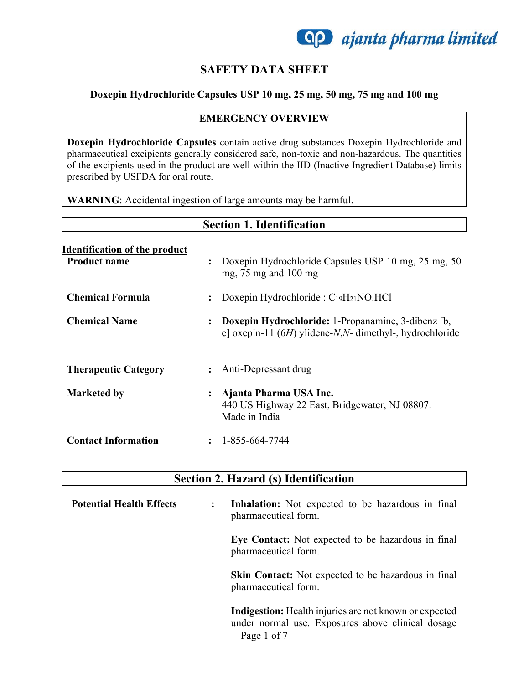

### **SAFETY DATA SHEET**

### **Doxepin Hydrochloride Capsules USP 10 mg, 25 mg, 50 mg, 75 mg and 100 mg**

#### **EMERGENCY OVERVIEW**

**Doxepin Hydrochloride Capsules** contain active drug substances Doxepin Hydrochloride and pharmaceutical excipients generally considered safe, non-toxic and non-hazardous. The quantities of the excipients used in the product are well within the IID (Inactive Ingredient Database) limits prescribed by USFDA for oral route.

**WARNING**: Accidental ingestion of large amounts may be harmful.

|                                                             | <b>Section 1. Identification</b>                                                                                                  |
|-------------------------------------------------------------|-----------------------------------------------------------------------------------------------------------------------------------|
| <b>Identification of the product</b><br><b>Product name</b> | Doxepin Hydrochloride Capsules USP 10 mg, 25 mg, 50<br>$\ddot{\cdot}$<br>mg, $75 \text{ mg}$ and $100 \text{ mg}$                 |
| Chemical Formula                                            | Doxepin Hydrochloride : $C_{19}H_{21}NO.HCl$<br>$\ddot{\cdot}$                                                                    |
| <b>Chemical Name</b>                                        | Doxepin Hydrochloride: 1-Propanamine, 3-dibenz [b,<br>$\ddot{\cdot}$<br>e] oxepin-11 $(6H)$ ylidene-N,N- dimethyl-, hydrochloride |
| <b>Therapeutic Category</b>                                 | Anti-Depressant drug<br>$\ddot{\phantom{a}}$                                                                                      |
| <b>Marketed by</b>                                          | Ajanta Pharma USA Inc.<br>$\ddot{\cdot}$<br>440 US Highway 22 East, Bridgewater, NJ 08807.<br>Made in India                       |
| <b>Contact Information</b>                                  | 1-855-664-7744<br>$\ddot{\cdot}$                                                                                                  |

### **Section 2. Hazard (s) Identification**

| <b>Potential Health Effects</b> | $\ddot{\phantom{a}}$ | <b>Inhalation:</b> Not expected to be hazardous in final<br>pharmaceutical form.                                           |
|---------------------------------|----------------------|----------------------------------------------------------------------------------------------------------------------------|
|                                 |                      | Eye Contact: Not expected to be hazardous in final<br>pharmaceutical form.                                                 |
|                                 |                      | <b>Skin Contact:</b> Not expected to be hazardous in final<br>pharmaceutical form.                                         |
|                                 |                      | Indigestion: Health injuries are not known or expected<br>under normal use. Exposures above clinical dosage<br>Page 1 of 7 |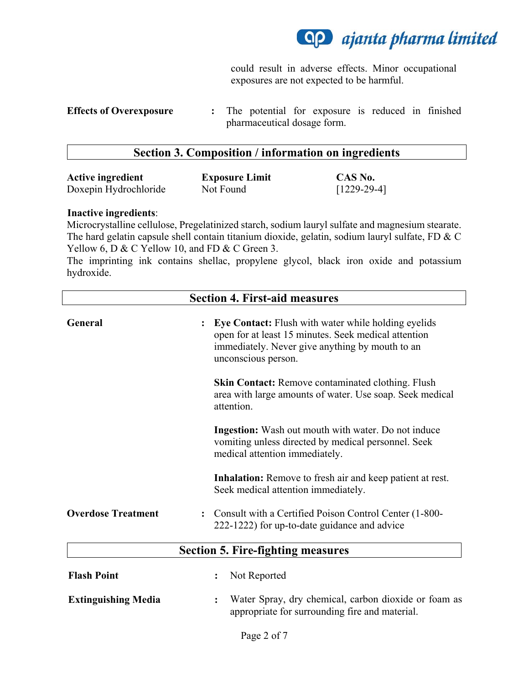

could result in adverse effects. Minor occupational exposures are not expected to be harmful.

### **Section 3. Composition / information on ingredients**

| <b>Active ingredient</b> | <b>Exposure Limit</b> | CAS No.       |
|--------------------------|-----------------------|---------------|
| Doxepin Hydrochloride    | Not Found             | $[1229-29-4]$ |

#### **Inactive ingredients**:

Microcrystalline cellulose, Pregelatinized starch, sodium lauryl sulfate and magnesium stearate. The hard gelatin capsule shell contain titanium dioxide, gelatin, sodium lauryl sulfate, FD & C Yellow 6, D & C Yellow 10, and FD & C Green 3.

The imprinting ink contains shellac, propylene glycol, black iron oxide and potassium hydroxide.

| <b>Section 4. First-aid measures</b> |                                                                                                                                                                                       |  |
|--------------------------------------|---------------------------------------------------------------------------------------------------------------------------------------------------------------------------------------|--|
| General                              | Eye Contact: Flush with water while holding eyelids<br>open for at least 15 minutes. Seek medical attention<br>immediately. Never give anything by mouth to an<br>unconscious person. |  |
|                                      | <b>Skin Contact:</b> Remove contaminated clothing. Flush<br>area with large amounts of water. Use soap. Seek medical<br>attention.                                                    |  |
|                                      | <b>Ingestion:</b> Wash out mouth with water. Do not induce<br>vomiting unless directed by medical personnel. Seek<br>medical attention immediately.                                   |  |
|                                      | <b>Inhalation:</b> Remove to fresh air and keep patient at rest.<br>Seek medical attention immediately.                                                                               |  |
| <b>Overdose Treatment</b>            | Consult with a Certified Poison Control Center (1-800-<br>$\ddot{\cdot}$<br>222-1222) for up-to-date guidance and advice                                                              |  |
|                                      | <b>Section 5. Fire-fighting measures</b>                                                                                                                                              |  |
| <b>Flash Point</b>                   | Not Reported<br>$\ddot{\cdot}$                                                                                                                                                        |  |
| <b>Extinguishing Media</b>           | Water Spray, dry chemical, carbon dioxide or foam as<br>$\ddot{\cdot}$<br>appropriate for surrounding fire and material.                                                              |  |

**Effects of Overexposure :** The potential for exposure is reduced in finished pharmaceutical dosage form.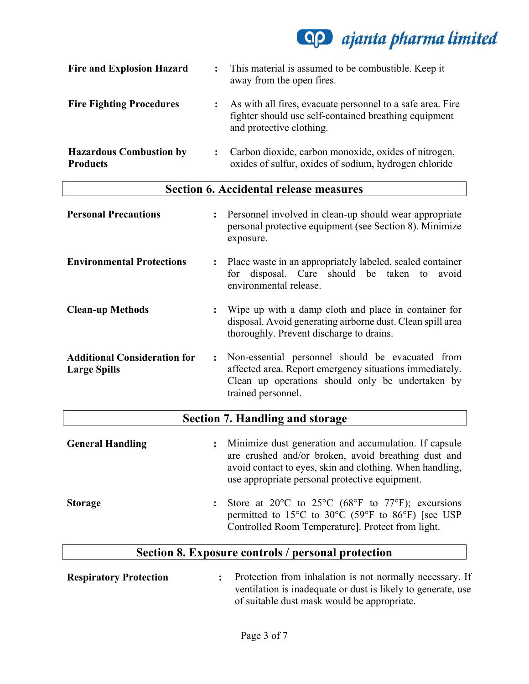# **Qp** ajanta pharma limited

| <b>Fire and Explosion Hazard</b>                  | This material is assumed to be combustible. Keep it<br>away from the open fires.                                                                |
|---------------------------------------------------|-------------------------------------------------------------------------------------------------------------------------------------------------|
| <b>Fire Fighting Procedures</b>                   | As with all fires, evacuate personnel to a safe area. Fire<br>fighter should use self-contained breathing equipment<br>and protective clothing. |
| <b>Hazardous Combustion by</b><br><b>Products</b> | Carbon dioxide, carbon monoxide, oxides of nitrogen,<br>oxides of sulfur, oxides of sodium, hydrogen chloride                                   |

## **Section 6. Accidental release measures**

| <b>Personal Precautions</b><br>$\ddot{\cdot}$                                | Personnel involved in clean-up should wear appropriate<br>personal protective equipment (see Section 8). Minimize<br>exposure.                                                        |
|------------------------------------------------------------------------------|---------------------------------------------------------------------------------------------------------------------------------------------------------------------------------------|
| <b>Environmental Protections</b><br>$\ddot{\cdot}$                           | Place waste in an appropriately labeled, sealed container<br>for disposal. Care should be taken to<br>avoid<br>environmental release.                                                 |
| <b>Clean-up Methods</b><br>$\ddot{\cdot}$                                    | Wipe up with a damp cloth and place in container for<br>disposal. Avoid generating airborne dust. Clean spill area<br>thoroughly. Prevent discharge to drains.                        |
| <b>Additional Consideration for</b><br>$\ddot{\cdot}$<br><b>Large Spills</b> | Non-essential personnel should be evacuated from<br>affected area. Report emergency situations immediately.<br>Clean up operations should only be undertaken by<br>trained personnel. |
|                                                                              | <b>Section 7. Handling and storage</b>                                                                                                                                                |
| <b>General Handling</b>                                                      | Minimize dust generation and accumulation. If capsule                                                                                                                                 |

| <b>General Handling</b> | : Minimize dust generation and accumulation. If capsule<br>are crushed and/or broken, avoid breathing dust and<br>avoid contact to eyes, skin and clothing. When handling,<br>use appropriate personal protective equipment. |  |
|-------------------------|------------------------------------------------------------------------------------------------------------------------------------------------------------------------------------------------------------------------------|--|
| Storage                 | : Store at 20 $\degree$ C to 25 $\degree$ C (68 $\degree$ F to 77 $\degree$ F); excursions<br>permitted to 15 <sup>o</sup> C to 30 <sup>o</sup> C (59 <sup>o</sup> F to 86 <sup>o</sup> F) [see USP                          |  |

# **Section 8. Exposure controls / personal protection**

Controlled Room Temperature]. Protect from light.

| <b>Respiratory Protection</b> | Protection from inhalation is not normally necessary. If     |
|-------------------------------|--------------------------------------------------------------|
|                               | ventilation is inadequate or dust is likely to generate, use |
|                               | of suitable dust mask would be appropriate.                  |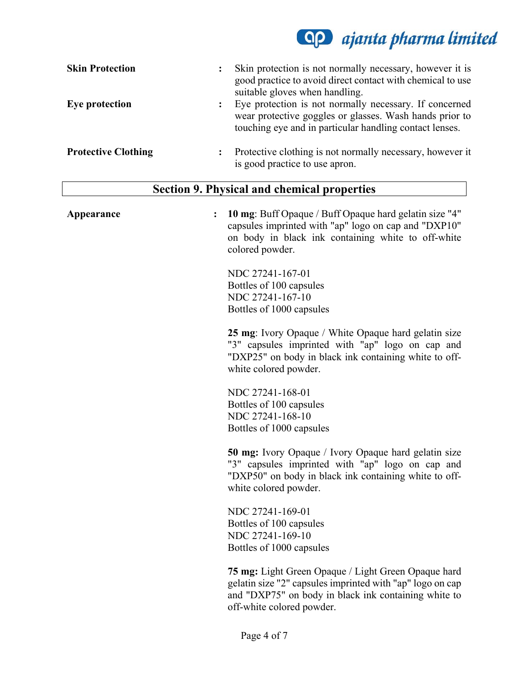# **AP** ajanta pharma limited

| <b>Skin Protection</b>     | Skin protection is not normally necessary, however it is<br>፡<br>good practice to avoid direct contact with chemical to use<br>suitable gloves when handling.                     |
|----------------------------|-----------------------------------------------------------------------------------------------------------------------------------------------------------------------------------|
| Eye protection             | Eye protection is not normally necessary. If concerned<br>፡<br>wear protective goggles or glasses. Wash hands prior to<br>touching eye and in particular handling contact lenses. |
| <b>Protective Clothing</b> | Protective clothing is not normally necessary, however it<br>is good practice to use apron.                                                                                       |

## **Section 9. Physical and chemical properties**

| Appearance | 10 mg: Buff Opaque / Buff Opaque hard gelatin size "4"<br>capsules imprinted with "ap" logo on cap and "DXP10"<br>on body in black ink containing white to off-white<br>colored powder.                      |
|------------|--------------------------------------------------------------------------------------------------------------------------------------------------------------------------------------------------------------|
|            | NDC 27241-167-01                                                                                                                                                                                             |
|            | Bottles of 100 capsules                                                                                                                                                                                      |
|            | NDC 27241-167-10                                                                                                                                                                                             |
|            | Bottles of 1000 capsules                                                                                                                                                                                     |
|            | <b>25 mg:</b> Ivory Opaque / White Opaque hard gelatin size<br>"3" capsules imprinted with "ap" logo on cap and<br>"DXP25" on body in black ink containing white to off-<br>white colored powder.            |
|            | NDC 27241-168-01                                                                                                                                                                                             |
|            | Bottles of 100 capsules                                                                                                                                                                                      |
|            | NDC 27241-168-10                                                                                                                                                                                             |
|            | Bottles of 1000 capsules                                                                                                                                                                                     |
|            | <b>50 mg:</b> Ivory Opaque / Ivory Opaque hard gelatin size<br>"3" capsules imprinted with "ap" logo on cap and<br>"DXP50" on body in black ink containing white to off-<br>white colored powder.            |
|            | NDC 27241-169-01                                                                                                                                                                                             |
|            | Bottles of 100 capsules                                                                                                                                                                                      |
|            | NDC 27241-169-10                                                                                                                                                                                             |
|            | Bottles of 1000 capsules                                                                                                                                                                                     |
|            | <b>75 mg:</b> Light Green Opaque / Light Green Opaque hard<br>gelatin size "2" capsules imprinted with "ap" logo on cap<br>and "DXP75" on body in black ink containing white to<br>off-white colored powder. |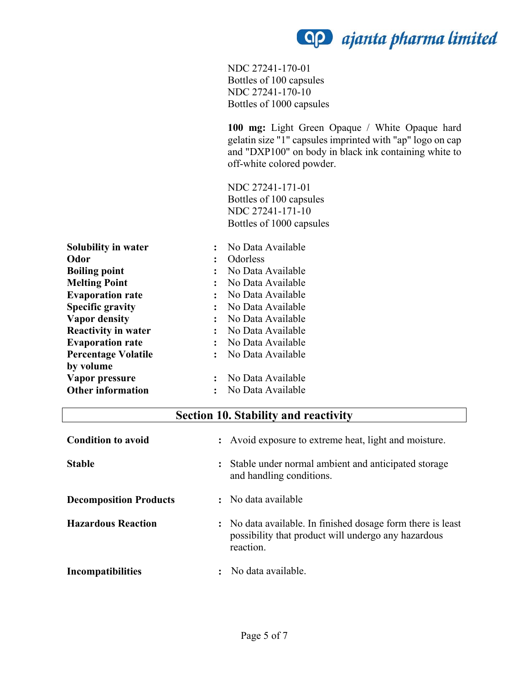**AP** ajanta pharma limited

NDC 27241-170-01 Bottles of 100 capsules NDC 27241-170-10 Bottles of 1000 capsules

**100 mg:** Light Green Opaque / White Opaque hard gelatin size "1" capsules imprinted with "ap" logo on cap and "DXP100" on body in black ink containing white to off-white colored powder.

NDC 27241-171-01 Bottles of 100 capsules NDC 27241-171-10 Bottles of 1000 capsules

| Solubility in water        |                      | No Data Available |
|----------------------------|----------------------|-------------------|
| Odor                       |                      | Odorless          |
| <b>Boiling point</b>       |                      | No Data Available |
| <b>Melting Point</b>       |                      | No Data Available |
| <b>Evaporation rate</b>    |                      | No Data Available |
| <b>Specific gravity</b>    |                      | No Data Available |
| <b>Vapor density</b>       | $\ddot{\cdot}$       | No Data Available |
| <b>Reactivity in water</b> | $\ddot{\phantom{a}}$ | No Data Available |
| <b>Evaporation rate</b>    |                      | No Data Available |
| <b>Percentage Volatile</b> |                      | No Data Available |
| by volume                  |                      |                   |
| Vapor pressure             |                      | No Data Available |
| <b>Other information</b>   |                      | No Data Available |

### **Section 10. Stability and reactivity**

| <b>Condition to avoid</b>     | : Avoid exposure to extreme heat, light and moisture.                                                                           |
|-------------------------------|---------------------------------------------------------------------------------------------------------------------------------|
| <b>Stable</b>                 | Stable under normal ambient and anticipated storage<br>and handling conditions.                                                 |
| <b>Decomposition Products</b> | : No data available                                                                                                             |
| <b>Hazardous Reaction</b>     | : No data available. In finished dosage form there is least<br>possibility that product will undergo any hazardous<br>reaction. |
| Incompatibilities             | No data available.                                                                                                              |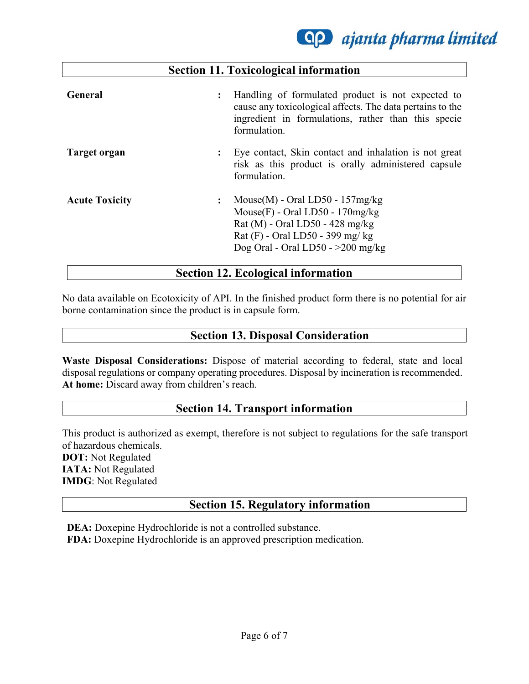**Qp** ajanta pharma limited

|                       | <b>Section 11. Toxicological information</b>                                                                                                                                                              |
|-----------------------|-----------------------------------------------------------------------------------------------------------------------------------------------------------------------------------------------------------|
| General               | Handling of formulated product is not expected to<br>$\ddot{\cdot}$<br>cause any toxicological affects. The data pertains to the<br>ingredient in formulations, rather than this specie<br>formulation.   |
| Target organ          | Eye contact, Skin contact and inhalation is not great<br>፡<br>risk as this product is orally administered capsule<br>formulation.                                                                         |
| <b>Acute Toxicity</b> | Mouse $(M)$ - Oral LD50 - 157mg/kg<br>$\ddot{\cdot}$<br>Mouse $(F)$ - Oral LD50 - 170mg/kg<br>Rat (M) - Oral LD50 - 428 mg/kg<br>Rat $(F)$ - Oral LD50 - 399 mg/kg<br>Dog Oral - Oral $LD50 - >200$ mg/kg |
|                       | <b>Section 12. Ecological information</b>                                                                                                                                                                 |

## No data available on Ecotoxicity of API. In the finished product form there is no potential for air borne contamination since the product is in capsule form.

### **Section 13. Disposal Consideration**

**Waste Disposal Considerations:** Dispose of material according to federal, state and local disposal regulations or company operating procedures. Disposal by incineration is recommended. **At home:** Discard away from children's reach.

### **Section 14. Transport information**

This product is authorized as exempt, therefore is not subject to regulations for the safe transport of hazardous chemicals. **DOT:** Not Regulated **IATA:** Not Regulated **IMDG**: Not Regulated

### **Section 15. Regulatory information**

**DEA:** Doxepine Hydrochloride is not a controlled substance. **FDA:** Doxepine Hydrochloride is an approved prescription medication.